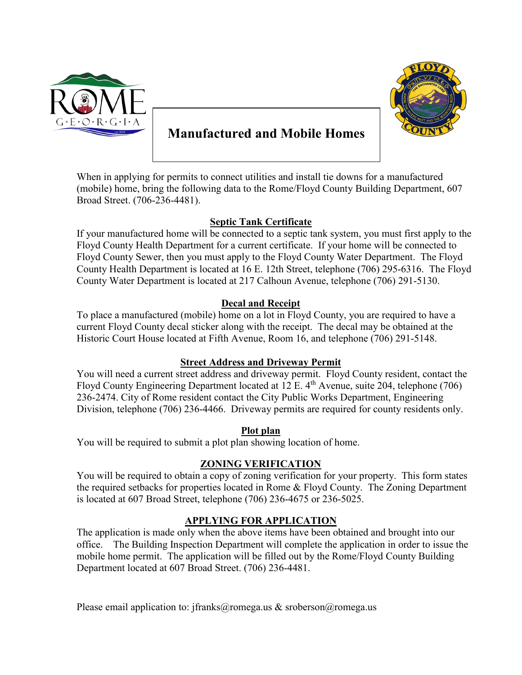



# **Manufactured and Mobile Homes**

When in applying for permits to connect utilities and install tie downs for a manufactured (mobile) home, bring the following data to the Rome/Floyd County Building Department, 607 Broad Street. (706-236-4481).

#### **Septic Tank Certificate**

If your manufactured home will be connected to a septic tank system, you must first apply to the Floyd County Health Department for a current certificate. If your home will be connected to Floyd County Sewer, then you must apply to the Floyd County Water Department. The Floyd County Health Department is located at 16 E. 12th Street, telephone (706) 295-6316. The Floyd County Water Department is located at 217 Calhoun Avenue, telephone (706) 291-5130.

#### **Decal and Receipt**

To place a manufactured (mobile) home on a lot in Floyd County, you are required to have a current Floyd County decal sticker along with the receipt. The decal may be obtained at the Historic Court House located at Fifth Avenue, Room 16, and telephone (706) 291-5148.

#### **Street Address and Driveway Permit**

You will need a current street address and driveway permit. Floyd County resident, contact the Floyd County Engineering Department located at  $12 \text{ E}$ . 4<sup>th</sup> Avenue, suite 204, telephone (706) 236-2474. City of Rome resident contact the City Public Works Department, Engineering Division, telephone (706) 236-4466. Driveway permits are required for county residents only.

#### **Plot plan**

You will be required to submit a plot plan showing location of home.

#### **ZONING VERIFICATION**

You will be required to obtain a copy of zoning verification for your property. This form states the required setbacks for properties located in Rome & Floyd County. The Zoning Department is located at 607 Broad Street, telephone (706) 236-4675 or 236-5025.

#### **APPLYING FOR APPLICATION**

The application is made only when the above items have been obtained and brought into our office. The Building Inspection Department will complete the application in order to issue the mobile home permit.The application will be filled out by the Rome/Floyd County Building Department located at 607 Broad Street. (706) 236-4481.

Please email application to: jfranks@romega.us & sroberson@romega.us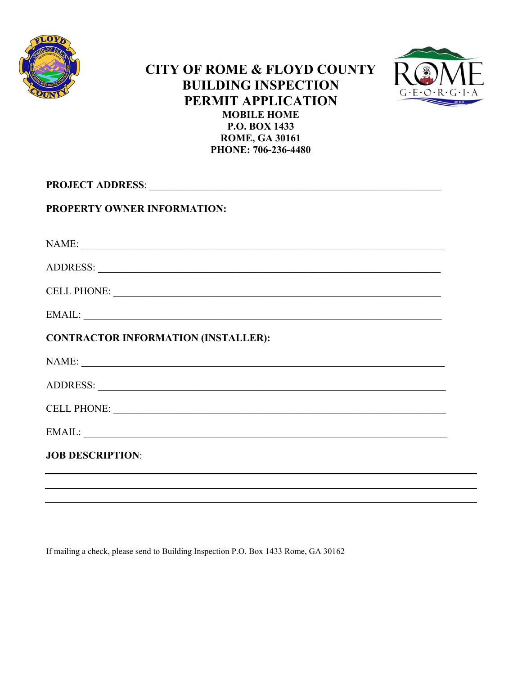

### **CITY OF ROME & FLOYD COUNTY BUILDING INSPECTION PERMIT APPLICATION MOBILE HOME P.O. BOX 1433 ROME, GA 30161 PHONE: 706-236-4480**



| PROJECT ADDRESS: NATIONAL PROJECT ADDRESS: |  |  |  |
|--------------------------------------------|--|--|--|
| PROPERTY OWNER INFORMATION:                |  |  |  |
| NAME:                                      |  |  |  |
|                                            |  |  |  |
|                                            |  |  |  |
|                                            |  |  |  |
| <b>CONTRACTOR INFORMATION (INSTALLER):</b> |  |  |  |
| NAME:                                      |  |  |  |
|                                            |  |  |  |
| CELL PHONE:                                |  |  |  |
|                                            |  |  |  |
| <b>JOB DESCRIPTION:</b>                    |  |  |  |
|                                            |  |  |  |

If mailing a check, please send to Building Inspection P.O. Box 1433 Rome, GA 30162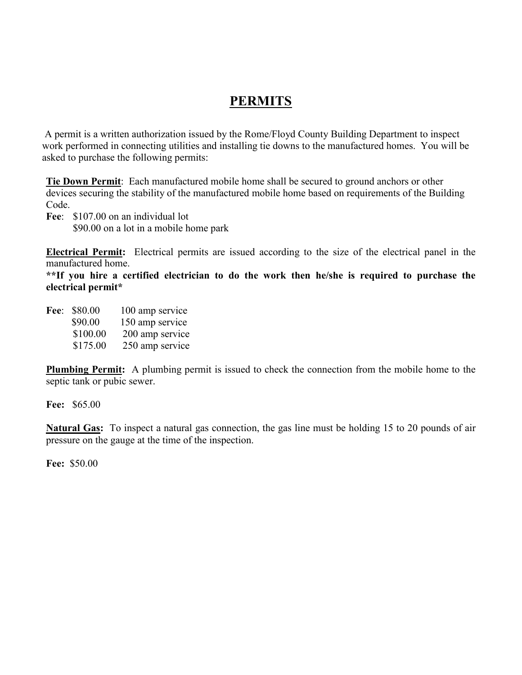## **PERMITS**

A permit is a written authorization issued by the Rome/Floyd County Building Department to inspect work performed in connecting utilities and installing tie downs to the manufactured homes. You will be asked to purchase the following permits:

**Tie Down Permit**: Each manufactured mobile home shall be secured to ground anchors or other devices securing the stability of the manufactured mobile home based on requirements of the Building Code.

**Fee**: \$107.00 on an individual lot \$90.00 on a lot in a mobile home park

**Electrical Permit:** Electrical permits are issued according to the size of the electrical panel in the manufactured home.

**\*\*If you hire a certified electrician to do the work then he/she is required to purchase the electrical permit\***

| Fee: \$80.00 | 100 amp service |
|--------------|-----------------|
| \$90.00      | 150 amp service |
| \$100.00     | 200 amp service |
| \$175.00     | 250 amp service |

**Plumbing Permit:** A plumbing permit is issued to check the connection from the mobile home to the septic tank or pubic sewer.

**Fee:** \$65.00

**Natural Gas:** To inspect a natural gas connection, the gas line must be holding 15 to 20 pounds of air pressure on the gauge at the time of the inspection.

**Fee:** \$50.00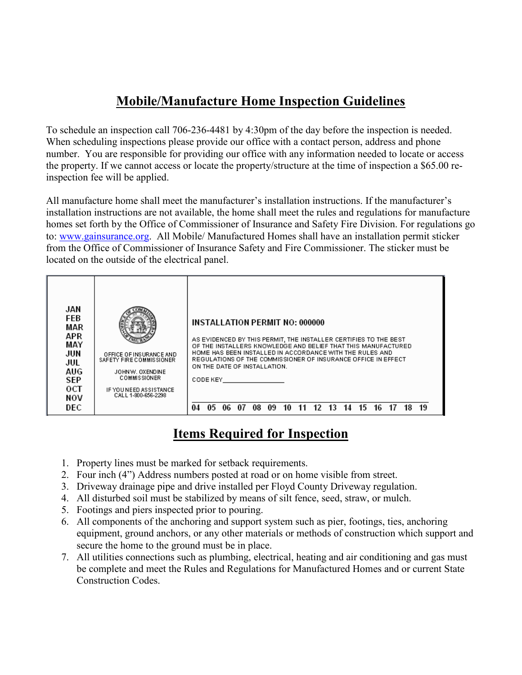## **Mobile/Manufacture Home Inspection Guidelines**

To schedule an inspection call 706-236-4481 by 4:30pm of the day before the inspection is needed. When scheduling inspections please provide our office with a contact person, address and phone number. You are responsible for providing our office with any information needed to locate or access the property. If we cannot access or locate the property/structure at the time of inspection a \$65.00 reinspection fee will be applied.

All manufacture home shall meet the manufacturer's installation instructions. If the manufacturer's installation instructions are not available, the home shall meet the rules and regulations for manufacture homes set forth by the Office of Commissioner of Insurance and Safety Fire Division. For regulations go to: [www.gainsurance.org.](http://www.gainsurance.org/) All Mobile/ Manufactured Homes shall have an installation permit sticker from the Office of Commissioner of Insurance Safety and Fire Commissioner. The sticker must be located on the outside of the electrical panel.



### **Items Required for Inspection**

- 1. Property lines must be marked for setback requirements.
- 2. Four inch (4") Address numbers posted at road or on home visible from street.
- 3. Driveway drainage pipe and drive installed per Floyd County Driveway regulation.
- 4. All disturbed soil must be stabilized by means of silt fence, seed, straw, or mulch.
- 5. Footings and piers inspected prior to pouring.
- 6. All components of the anchoring and support system such as pier, footings, ties, anchoring equipment, ground anchors, or any other materials or methods of construction which support and secure the home to the ground must be in place.
- 7. All utilities connections such as plumbing, electrical, heating and air conditioning and gas must be complete and meet the Rules and Regulations for Manufactured Homes and or current State Construction Codes.